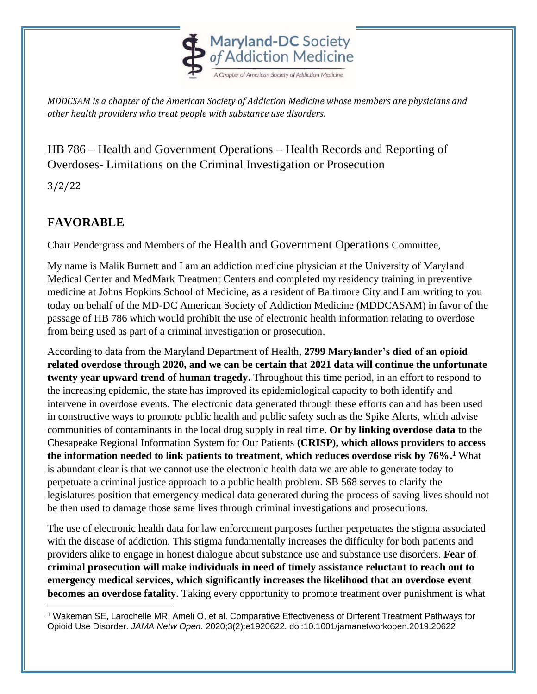

*MDDCSAM is a chapter of the American Society of Addiction Medicine whose members are physicians and other health providers who treat people with substance use disorders.* 

HB 786 – Health and Government Operations – Health Records and Reporting of Overdoses- Limitations on the Criminal Investigation or Prosecution

3/2/22

## **FAVORABLE**

Chair Pendergrass and Members of the Health and Government Operations Committee,

My name is Malik Burnett and I am an addiction medicine physician at the University of Maryland Medical Center and MedMark Treatment Centers and completed my residency training in preventive medicine at Johns Hopkins School of Medicine, as a resident of Baltimore City and I am writing to you today on behalf of the MD-DC American Society of Addiction Medicine (MDDCASAM) in favor of the passage of HB 786 which would prohibit the use of electronic health information relating to overdose from being used as part of a criminal investigation or prosecution.

According to data from the Maryland Department of Health, **2799 Marylander's died of an opioid related overdose through 2020, and we can be certain that 2021 data will continue the unfortunate twenty year upward trend of human tragedy.** Throughout this time period, in an effort to respond to the increasing epidemic, the state has improved its epidemiological capacity to both identify and intervene in overdose events. The electronic data generated through these efforts can and has been used in constructive ways to promote public health and public safety such as the Spike Alerts, which advise communities of contaminants in the local drug supply in real time. **Or by linking overdose data to** the Chesapeake Regional Information System for Our Patients **(CRISP), which allows providers to access the information needed to link patients to treatment, which reduces overdose risk by 76%. <sup>1</sup>** What is abundant clear is that we cannot use the electronic health data we are able to generate today to perpetuate a criminal justice approach to a public health problem. SB 568 serves to clarify the legislatures position that emergency medical data generated during the process of saving lives should not be then used to damage those same lives through criminal investigations and prosecutions.

The use of electronic health data for law enforcement purposes further perpetuates the stigma associated with the disease of addiction. This stigma fundamentally increases the difficulty for both patients and providers alike to engage in honest dialogue about substance use and substance use disorders. **Fear of criminal prosecution will make individuals in need of timely assistance reluctant to reach out to emergency medical services, which significantly increases the likelihood that an overdose event becomes an overdose fatality**. Taking every opportunity to promote treatment over punishment is what

<sup>1</sup> Wakeman SE, Larochelle MR, Ameli O, et al. Comparative Effectiveness of Different Treatment Pathways for Opioid Use Disorder. *JAMA Netw Open.* 2020;3(2):e1920622. doi:10.1001/jamanetworkopen.2019.20622